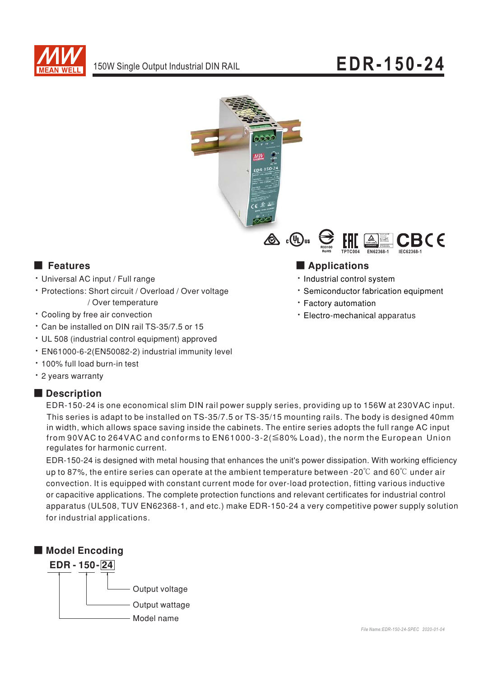



## **Executer** Features

- · Universal AC input / Full range
- · Protections: Short circuit / Overload / Over voltage / Over temperature
- Cooling by free air convection
- \* Can be installed on DIN rail TS-35/7.5 or 15
- UL 508 (industrial control equipment) approved
- · EN61000-6-2(EN50082-2) industrial immunity level
- . 100% full load burn-in test
- · 2 years warranty

## Description



## Applications

- · Industrial control system
- \* Semiconductor fabrication equipment
- · Factory automation
- · Electro-mechanical apparatus

EDR-150-24 is one economical slim DIN rail power supply series, providing up to 156W at 230VAC input. This series is adapt to be installed on TS-35/7.5 or TS-35/15 mounting rails. The body is designed 40mm in width, which allows space saving inside the cabinets. The entire series adopts the full range AC input from 90VAC to 264VAC and conforms to  $EN61000-3-2(\leq 80\%$  Load), the norm the European Union regulates for harmonic current.

EDR-150-24 is designed with metal housing that enhances the unit's power dissipation. With working efficiency up to 87%, the entire series can operate at the ambient temperature between -20°C and 60°C under air convection. It is equipped with constant current mode for over-load protection, fitting various inductive or capacitive applications. The complete protection functions and relevant certificates for industrial control apparatus (UL508, TUV EN62368-1, and etc.) make EDR-150-24 a very competitive power supply solution for industrial applications.

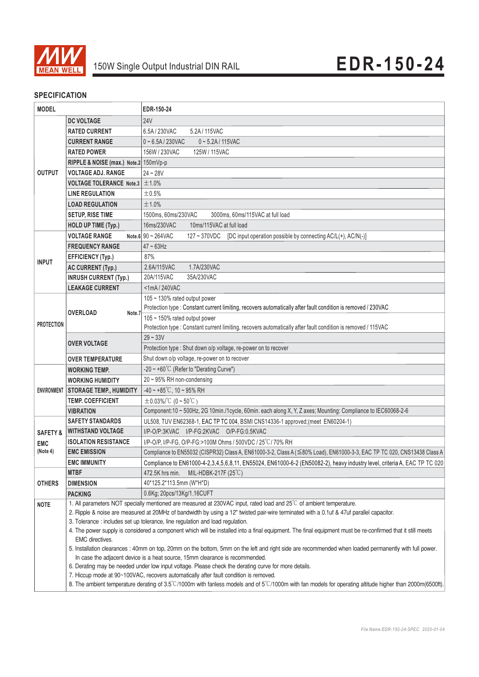

#### **SPECIFICATION**

| <b>MODEL</b>        |                                                                                                                                                                               | EDR-150-24                                                                                                                                                |
|---------------------|-------------------------------------------------------------------------------------------------------------------------------------------------------------------------------|-----------------------------------------------------------------------------------------------------------------------------------------------------------|
|                     | <b>DC VOLTAGE</b>                                                                                                                                                             | 24V                                                                                                                                                       |
|                     | <b>RATED CURRENT</b>                                                                                                                                                          | 6.5A / 230VAC<br>5.2A/115VAC                                                                                                                              |
|                     | <b>CURRENT RANGE</b>                                                                                                                                                          | $0 - 6.5A / 230VAC$<br>$0 - 5.2A / 115VAC$                                                                                                                |
|                     | <b>RATED POWER</b>                                                                                                                                                            | 156W / 230VAC<br>125W / 115VAC                                                                                                                            |
|                     | RIPPLE & NOISE (max.) Note.2 150mVp-p                                                                                                                                         |                                                                                                                                                           |
| <b>OUTPUT</b>       | <b>VOLTAGE ADJ. RANGE</b>                                                                                                                                                     | $24 - 28V$                                                                                                                                                |
|                     | <b>VOLTAGE TOLERANCE Note.3</b>                                                                                                                                               | ±1.0%                                                                                                                                                     |
|                     | <b>LINE REGULATION</b>                                                                                                                                                        | ±0.5%                                                                                                                                                     |
|                     | <b>LOAD REGULATION</b>                                                                                                                                                        | ±1.0%                                                                                                                                                     |
|                     | <b>SETUP, RISE TIME</b>                                                                                                                                                       | 1500ms. 60ms/230VAC<br>3000ms, 60ms/115VAC at full load                                                                                                   |
|                     | <b>HOLD UP TIME (Typ.)</b>                                                                                                                                                    | 16ms/230VAC<br>10ms/115VAC at full load                                                                                                                   |
|                     | <b>VOLTAGE RANGE</b>                                                                                                                                                          | Note 6 $90 - 264$ VAC<br>127 ~ 370VDC [DC input operation possible by connecting AC/L(+), AC/N(-)]                                                        |
| <b>INPUT</b>        | <b>FREQUENCY RANGE</b>                                                                                                                                                        | $47 \sim 63$ Hz                                                                                                                                           |
|                     | <b>EFFICIENCY (Typ.)</b>                                                                                                                                                      | 87%                                                                                                                                                       |
|                     | <b>AC CURRENT (Typ.)</b>                                                                                                                                                      | 2.6A/115VAC<br>1.7A/230VAC                                                                                                                                |
|                     | <b>INRUSH CURRENT (Typ.)</b>                                                                                                                                                  | 20A/115VAC<br>35A/230VAC                                                                                                                                  |
|                     | <b>LEAKAGE CURRENT</b>                                                                                                                                                        | <1mA/240VAC                                                                                                                                               |
|                     |                                                                                                                                                                               | 105 ~ 130% rated output power                                                                                                                             |
| <b>PROTECTION</b>   |                                                                                                                                                                               | Protection type : Constant current limiting, recovers automatically after fault condition is removed / 230VAC                                             |
|                     | <b>OVERLOAD</b><br>Note.7                                                                                                                                                     | 105 ~ 150% rated output power                                                                                                                             |
|                     |                                                                                                                                                                               | Protection type : Constant current limiting, recovers automatically after fault condition is removed / 115VAC                                             |
|                     |                                                                                                                                                                               | $29 - 33V$                                                                                                                                                |
|                     | <b>OVER VOLTAGE</b>                                                                                                                                                           | Protection type : Shut down o/p voltage, re-power on to recover                                                                                           |
|                     | <b>OVER TEMPERATURE</b>                                                                                                                                                       | Shut down o/p voltage, re-power on to recover                                                                                                             |
| <b>ENVIRONMENT</b>  | WORKING TEMP.                                                                                                                                                                 | -20 $\sim$ +60°C (Refer to "Derating Curve")                                                                                                              |
|                     | <b>WORKING HUMIDITY</b>                                                                                                                                                       | $20 \sim 95\%$ RH non-condensing                                                                                                                          |
|                     | <b>STORAGE TEMP., HUMIDITY</b>                                                                                                                                                | $-40 \sim +85^{\circ}$ C, 10 ~ 95% RH                                                                                                                     |
|                     | <b>TEMP. COEFFICIENT</b>                                                                                                                                                      | $\pm$ 0.03%/°C (0~50°C)                                                                                                                                   |
|                     | VIBRATION                                                                                                                                                                     | Component:10 ~ 500Hz, 2G 10min./1cycle, 60min. each along X, Y, Z axes; Mounting: Compliance to IEC60068-2-6                                              |
|                     | <b>SAFETY STANDARDS</b>                                                                                                                                                       | UL508, TUV EN62368-1, EAC TP TC 004, BSMI CNS14336-1 approved; (meet EN60204-1)                                                                           |
| <b>SAFETY &amp;</b> | <b>WITHSTAND VOLTAGE</b>                                                                                                                                                      | I/P-O/P:3KVAC I/P-FG:2KVAC O/P-FG:0.5KVAC                                                                                                                 |
| <b>EMC</b>          | <b>ISOLATION RESISTANCE</b>                                                                                                                                                   | I/P-O/P, I/P-FG, O/P-FG:>100M Ohms / 500VDC / 25 °C / 70% RH                                                                                              |
| (Note 4)            | <b>EMC EMISSION</b>                                                                                                                                                           | Compliance to EN55032 (CISPR32) Class A, EN61000-3-2, Class A (≦80% Load), EN61000-3-3, EAC TP TC 020, CNS13438 Class A                                   |
|                     | <b>EMC IMMUNITY</b>                                                                                                                                                           | Compliance to EN61000-4-2,3,4,5,6,8,11, EN55024, EN61000-6-2 (EN50082-2), heavy industry level, criteria A, EAC TP TC 020                                 |
|                     | <b>MTBF</b>                                                                                                                                                                   | MIL-HDBK-217F (25 $\degree$ C)<br>472.5K hrs min.                                                                                                         |
| <b>OTHERS</b>       | <b>DIMENSION</b>                                                                                                                                                              | 40*125.2*113.5mm (W*H*D)                                                                                                                                  |
|                     | <b>PACKING</b>                                                                                                                                                                | 0.6Kg; 20pcs/13Kg/1.16CUFT                                                                                                                                |
| <b>NOTE</b>         |                                                                                                                                                                               | 1. All parameters NOT specially mentioned are measured at 230VAC input, rated load and 25°C of ambient temperature.                                       |
|                     | 2. Ripple & noise are measured at 20MHz of bandwidth by using a 12" twisted pair-wire terminated with a 0.1uf & 47uf parallel capacitor.                                      |                                                                                                                                                           |
|                     |                                                                                                                                                                               | 3. Tolerance : includes set up tolerance, line regulation and load regulation.                                                                            |
|                     | 4. The power supply is considered a component which will be installed into a final equipment. The final equipment must be re-confirmed that it still meets<br>EMC directives. |                                                                                                                                                           |
|                     | 5. Installation clearances : 40mm on top, 20mm on the bottom, 5mm on the left and right side are recommended when loaded permanently with full power.                         |                                                                                                                                                           |
|                     |                                                                                                                                                                               | In case the adjacent device is a heat source, 15mm clearance is recommended.                                                                              |
|                     |                                                                                                                                                                               | 6. Derating may be needed under low input voltage. Please check the derating curve for more details.                                                      |
|                     |                                                                                                                                                                               | 7. Hiccup mode at 90~100VAC, recovers automatically after fault condition is removed.                                                                     |
|                     |                                                                                                                                                                               | 8. The ambient temperature derating of 3.5°C/1000m with fanless models and of 5°C/1000m with fan models for operating altitude higher than 2000m(6500ft). |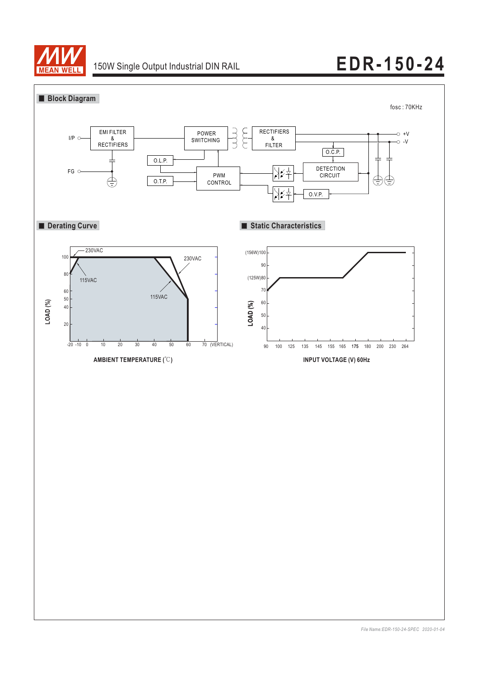

# 150W Single Output Industrial DIN RAIL **EDR-150-24**